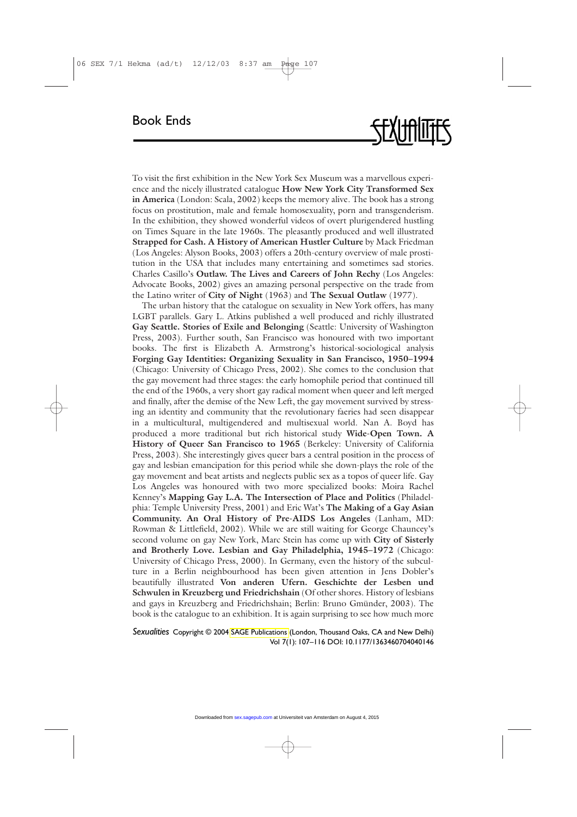To visit the first exhibition in the New York Sex Museum was a marvellous experience and the nicely illustrated catalogue **How New York City Transformed Sex in America** (London: Scala, 2002) keeps the memory alive. The book has a strong focus on prostitution, male and female homosexuality, porn and transgenderism. In the exhibition, they showed wonderful videos of overt plurigendered hustling on Times Square in the late 1960s. The pleasantly produced and well illustrated **Strapped for Cash. A History of American Hustler Culture** by Mack Friedman (Los Angeles: Alyson Books, 2003) offers a 20th-century overview of male prostitution in the USA that includes many entertaining and sometimes sad stories. Charles Casillo's **Outlaw. The Lives and Careers of John Rechy** (Los Angeles: Advocate Books, 2002) gives an amazing personal perspective on the trade from the Latino writer of **City of Night** (1963) and **The Sexual Outlaw** (1977).

The urban history that the catalogue on sexuality in New York offers, has many LGBT parallels. Gary L. Atkins published a well produced and richly illustrated **Gay Seattle. Stories of Exile and Belonging** (Seattle: University of Washington Press, 2003). Further south, San Francisco was honoured with two important books. The first is Elizabeth A. Armstrong's historical-sociological analysis **Forging Gay Identities: Organizing Sexuality in San Francisco, 1950–1994** (Chicago: University of Chicago Press, 2002). She comes to the conclusion that the gay movement had three stages: the early homophile period that continued till the end of the 1960s, a very short gay radical moment when queer and left merged and finally, after the demise of the New Left, the gay movement survived by stressing an identity and community that the revolutionary faeries had seen disappear in a multicultural, multigendered and multisexual world. Nan A. Boyd has produced a more traditional but rich historical study **Wide-Open Town. A History of Queer San Francisco to 1965** (Berkeley: University of California Press, 2003). She interestingly gives queer bars a central position in the process of gay and lesbian emancipation for this period while she down-plays the role of the gay movement and beat artists and neglects public sex as a topos of queer life. Gay Los Angeles was honoured with two more specialized books: Moira Rachel Kenney's **Mapping Gay L.A. The Intersection of Place and Politics** (Philadelphia: Temple University Press, 2001) and Eric Wat's **The Making of a Gay Asian Community. An Oral History of Pre-AIDS Los Angeles** (Lanham, MD: Rowman & Littlefield, 2002). While we are still waiting for George Chauncey's second volume on gay New York, Marc Stein has come up with **City of Sisterly and Brotherly Love. Lesbian and Gay Philadelphia, 1945–1972** (Chicago: University of Chicago Press, 2000). In Germany, even the history of the subculture in a Berlin neighbourhood has been given attention in Jens Dobler's beautifully illustrated **Von anderen Ufern. Geschichte der Lesben und Schwulen in Kreuzberg und Friedrichshain** (Of other shores. History of lesbians and gays in Kreuzberg and Friedrichshain; Berlin: Bruno Gmünder, 2003). The book is the catalogue to an exhibition. It is again surprising to see how much more

## *Sexualities* Copyright © 2004 [SAGE Publications](www.sagepublications.com) (London, Thousand Oaks, CA and New Delhi) Vol 7(1): 107–116 DOI: 10.1177/1363460704040146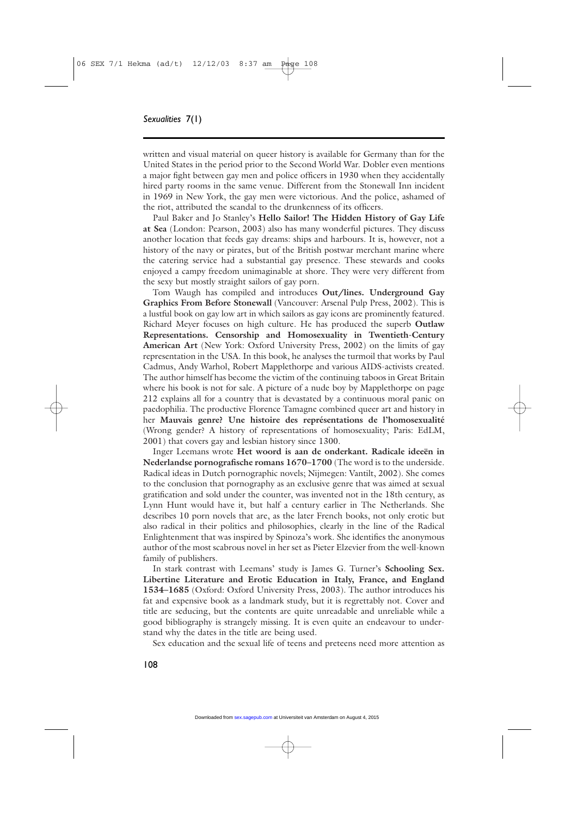written and visual material on queer history is available for Germany than for the United States in the period prior to the Second World War. Dobler even mentions a major fight between gay men and police officers in 1930 when they accidentally hired party rooms in the same venue. Different from the Stonewall Inn incident in 1969 in New York, the gay men were victorious. And the police, ashamed of the riot, attributed the scandal to the drunkenness of its officers.

Paul Baker and Jo Stanley's **Hello Sailor! The Hidden History of Gay Life at Sea** (London: Pearson, 2003) also has many wonderful pictures. They discuss another location that feeds gay dreams: ships and harbours. It is, however, not a history of the navy or pirates, but of the British postwar merchant marine where the catering service had a substantial gay presence. These stewards and cooks enjoyed a campy freedom unimaginable at shore. They were very different from the sexy but mostly straight sailors of gay porn.

Tom Waugh has compiled and introduces **Out/lines. Underground Gay Graphics From Before Stonewall** (Vancouver: Arsenal Pulp Press, 2002). This is a lustful book on gay low art in which sailors as gay icons are prominently featured. Richard Meyer focuses on high culture. He has produced the superb **Outlaw Representations. Censorship and Homosexuality in Twentieth-Century American Art** (New York: Oxford University Press, 2002) on the limits of gay representation in the USA. In this book, he analyses the turmoil that works by Paul Cadmus, Andy Warhol, Robert Mapplethorpe and various AIDS-activists created. The author himself has become the victim of the continuing taboos in Great Britain where his book is not for sale. A picture of a nude boy by Mapplethorpe on page 212 explains all for a country that is devastated by a continuous moral panic on paedophilia. The productive Florence Tamagne combined queer art and history in her **Mauvais genre? Une histoire des représentations de l'homosexualité** (Wrong gender? A history of representations of homosexuality; Paris: EdLM, 2001) that covers gay and lesbian history since 1300.

Inger Leemans wrote **Het woord is aan de onderkant. Radicale ideeën in Nederlandse pornografische romans 1670–1700** (The word is to the underside. Radical ideas in Dutch pornographic novels; Nijmegen: Vantilt, 2002). She comes to the conclusion that pornography as an exclusive genre that was aimed at sexual gratification and sold under the counter, was invented not in the 18th century, as Lynn Hunt would have it, but half a century earlier in The Netherlands. She describes 10 porn novels that are, as the later French books, not only erotic but also radical in their politics and philosophies, clearly in the line of the Radical Enlightenment that was inspired by Spinoza's work. She identifies the anonymous author of the most scabrous novel in her set as Pieter Elzevier from the well-known family of publishers.

In stark contrast with Leemans' study is James G. Turner's **Schooling Sex. Libertine Literature and Erotic Education in Italy, France, and England 1534–1685** (Oxford: Oxford University Press, 2003). The author introduces his fat and expensive book as a landmark study, but it is regrettably not. Cover and title are seducing, but the contents are quite unreadable and unreliable while a good bibliography is strangely missing. It is even quite an endeavour to understand why the dates in the title are being used.

Sex education and the sexual life of teens and preteens need more attention as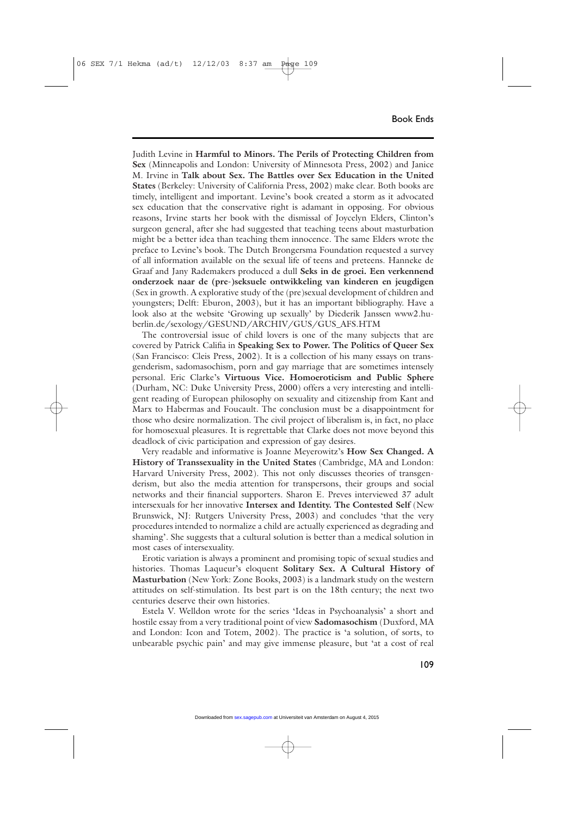Judith Levine in **Harmful to Minors. The Perils of Protecting Children from Sex** (Minneapolis and London: University of Minnesota Press, 2002) and Janice M. Irvine in **Talk about Sex. The Battles over Sex Education in the United States** (Berkeley: University of California Press, 2002) make clear. Both books are timely, intelligent and important. Levine's book created a storm as it advocated sex education that the conservative right is adamant in opposing. For obvious reasons, Irvine starts her book with the dismissal of Joycelyn Elders, Clinton's surgeon general, after she had suggested that teaching teens about masturbation might be a better idea than teaching them innocence. The same Elders wrote the preface to Levine's book. The Dutch Brongersma Foundation requested a survey of all information available on the sexual life of teens and preteens. Hanneke de Graaf and Jany Rademakers produced a dull **Seks in de groei. Een verkennend onderzoek naar de (pre-)seksuele ontwikkeling van kinderen en jeugdigen** (Sex in growth. A explorative study of the (pre)sexual development of children and youngsters; Delft: Eburon, 2003), but it has an important bibliography. Have a look also at the website 'Growing up sexually' by Diederik Janssen www2.huberlin.de/sexology/GESUND/ARCHIV/GUS/GUS\_AFS.HTM

The controversial issue of child lovers is one of the many subjects that are covered by Patrick Califia in **Speaking Sex to Power. The Politics of Queer Sex** (San Francisco: Cleis Press, 2002). It is a collection of his many essays on transgenderism, sadomasochism, porn and gay marriage that are sometimes intensely personal. Eric Clarke's **Virtuous Vice. Homoeroticism and Public Sphere** (Durham, NC: Duke University Press, 2000) offers a very interesting and intelligent reading of European philosophy on sexuality and citizenship from Kant and Marx to Habermas and Foucault. The conclusion must be a disappointment for those who desire normalization. The civil project of liberalism is, in fact, no place for homosexual pleasures. It is regrettable that Clarke does not move beyond this deadlock of civic participation and expression of gay desires.

Very readable and informative is Joanne Meyerowitz's **How Sex Changed. A History of Transsexuality in the United States** (Cambridge, MA and London: Harvard University Press, 2002). This not only discusses theories of transgenderism, but also the media attention for transpersons, their groups and social networks and their financial supporters. Sharon E. Preves interviewed 37 adult intersexuals for her innovative **Intersex and Identity. The Contested Self** (New Brunswick, NJ: Rutgers University Press, 2003) and concludes 'that the very procedures intended to normalize a child are actually experienced as degrading and shaming'. She suggests that a cultural solution is better than a medical solution in most cases of intersexuality.

Erotic variation is always a prominent and promising topic of sexual studies and histories. Thomas Laqueur's eloquent **Solitary Sex. A Cultural History of Masturbation** (New York: Zone Books, 2003) is a landmark study on the western attitudes on self-stimulation. Its best part is on the 18th century; the next two centuries deserve their own histories.

Estela V. Welldon wrote for the series 'Ideas in Psychoanalysis' a short and hostile essay from a very traditional point of view **Sadomasochism** (Duxford, MA and London: Icon and Totem, 2002). The practice is 'a solution, of sorts, to unbearable psychic pain' and may give immense pleasure, but 'at a cost of real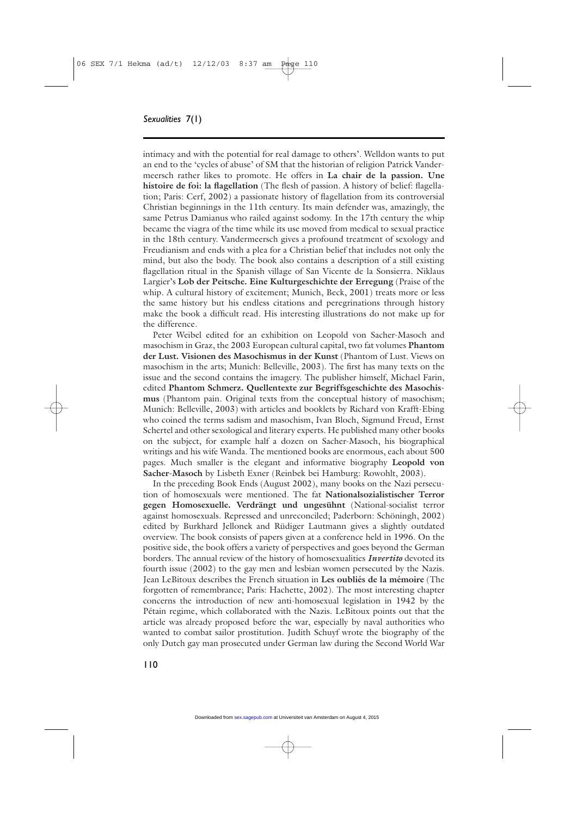## *Sexualities* 7(1)

intimacy and with the potential for real damage to others'. Welldon wants to put an end to the 'cycles of abuse' of SM that the historian of religion Patrick Vandermeersch rather likes to promote. He offers in **La chair de la passion. Une histoire de foi: la flagellation** (The flesh of passion. A history of belief: flagellation; Paris: Cerf, 2002) a passionate history of flagellation from its controversial Christian beginnings in the 11th century. Its main defender was, amazingly, the same Petrus Damianus who railed against sodomy. In the 17th century the whip became the viagra of the time while its use moved from medical to sexual practice in the 18th century. Vandermeersch gives a profound treatment of sexology and Freudianism and ends with a plea for a Christian belief that includes not only the mind, but also the body. The book also contains a description of a still existing flagellation ritual in the Spanish village of San Vicente de la Sonsierra. Niklaus Largier's **Lob der Peitsche. Eine Kulturgeschichte der Erregung** (Praise of the whip. A cultural history of excitement; Munich, Beck, 2001) treats more or less the same history but his endless citations and peregrinations through history make the book a difficult read. His interesting illustrations do not make up for the difference.

Peter Weibel edited for an exhibition on Leopold von Sacher-Masoch and masochism in Graz, the 2003 European cultural capital, two fat volumes **Phantom der Lust. Visionen des Masochismus in der Kunst** (Phantom of Lust. Views on masochism in the arts; Munich: Belleville, 2003). The first has many texts on the issue and the second contains the imagery. The publisher himself, Michael Farin, edited **Phantom Schmerz. Quellentexte zur Begriffsgeschichte des Masochismus** (Phantom pain. Original texts from the conceptual history of masochism; Munich: Belleville, 2003) with articles and booklets by Richard von Krafft-Ebing who coined the terms sadism and masochism, Ivan Bloch, Sigmund Freud, Ernst Schertel and other sexological and literary experts. He published many other books on the subject, for example half a dozen on Sacher-Masoch, his biographical writings and his wife Wanda. The mentioned books are enormous, each about 500 pages. Much smaller is the elegant and informative biography **Leopold von Sacher-Masoch** by Lisbeth Exner (Reinbek bei Hamburg: Rowohlt, 2003).

In the preceding Book Ends (August 2002), many books on the Nazi persecution of homosexuals were mentioned. The fat **Nationalsozialistischer Terror gegen Homosexuelle. Verdrängt und ungesühnt** (National-socialist terror against homosexuals. Repressed and unreconciled; Paderborn: Schöningh, 2002) edited by Burkhard Jellonek and Rüdiger Lautmann gives a slightly outdated overview. The book consists of papers given at a conference held in 1996. On the positive side, the book offers a variety of perspectives and goes beyond the German borders. The annual review of the history of homosexualities *Invertito* devoted its fourth issue (2002) to the gay men and lesbian women persecuted by the Nazis. Jean LeBitoux describes the French situation in **Les oubliés de la mémoire** (The forgotten of remembrance; Paris: Hachette, 2002). The most interesting chapter concerns the introduction of new anti-homosexual legislation in 1942 by the Pétain regime, which collaborated with the Nazis. LeBitoux points out that the article was already proposed before the war, especially by naval authorities who wanted to combat sailor prostitution. Judith Schuyf wrote the biography of the only Dutch gay man prosecuted under German law during the Second World War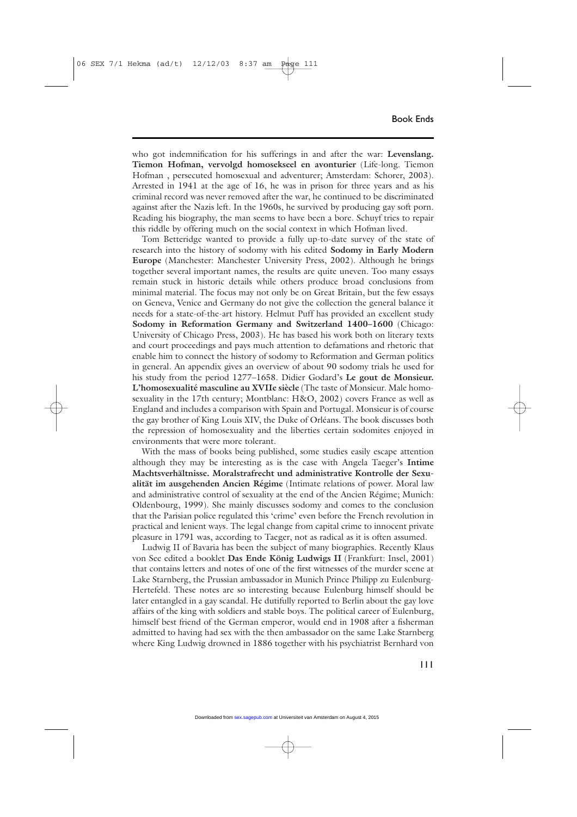who got indemnification for his sufferings in and after the war: **Levenslang. Tiemon Hofman, vervolgd homosekseel en avonturier** (Life-long. Tiemon Hofman , persecuted homosexual and adventurer; Amsterdam: Schorer, 2003). Arrested in 1941 at the age of 16, he was in prison for three years and as his criminal record was never removed after the war, he continued to be discriminated against after the Nazis left. In the 1960s, he survived by producing gay soft porn. Reading his biography, the man seems to have been a bore. Schuyf tries to repair this riddle by offering much on the social context in which Hofman lived.

Tom Betteridge wanted to provide a fully up-to-date survey of the state of research into the history of sodomy with his edited **Sodomy in Early Modern Europe** (Manchester: Manchester University Press, 2002). Although he brings together several important names, the results are quite uneven. Too many essays remain stuck in historic details while others produce broad conclusions from minimal material. The focus may not only be on Great Britain, but the few essays on Geneva, Venice and Germany do not give the collection the general balance it needs for a state-of-the-art history. Helmut Puff has provided an excellent study **Sodomy in Reformation Germany and Switzerland 1400–1600** (Chicago: University of Chicago Press, 2003). He has based his work both on literary texts and court proceedings and pays much attention to defamations and rhetoric that enable him to connect the history of sodomy to Reformation and German politics in general. An appendix gives an overview of about 90 sodomy trials he used for his study from the period 1277–1658. Didier Godard's **Le gout de Monsieur. L'homosexualité masculine au XVIIe siècle** (The taste of Monsieur. Male homosexuality in the 17th century; Montblanc: H&O, 2002) covers France as well as England and includes a comparison with Spain and Portugal. Monsieur is of course the gay brother of King Louis XIV, the Duke of Orléans. The book discusses both the repression of homosexuality and the liberties certain sodomites enjoyed in environments that were more tolerant.

With the mass of books being published, some studies easily escape attention although they may be interesting as is the case with Angela Taeger's **Intime Machtsverhältnisse. Moralstrafrecht und administrative Kontrolle der Sexualität im ausgehenden Ancien Régime** (Intimate relations of power. Moral law and administrative control of sexuality at the end of the Ancien Régime; Munich: Oldenbourg, 1999). She mainly discusses sodomy and comes to the conclusion that the Parisian police regulated this 'crime' even before the French revolution in practical and lenient ways. The legal change from capital crime to innocent private pleasure in 1791 was, according to Taeger, not as radical as it is often assumed.

Ludwig II of Bavaria has been the subject of many biographies. Recently Klaus von See edited a booklet **Das Ende König Ludwigs II** (Frankfurt: Insel, 2001) that contains letters and notes of one of the first witnesses of the murder scene at Lake Starnberg, the Prussian ambassador in Munich Prince Philipp zu Eulenburg-Hertefeld. These notes are so interesting because Eulenburg himself should be later entangled in a gay scandal. He dutifully reported to Berlin about the gay love affairs of the king with soldiers and stable boys. The political career of Eulenburg, himself best friend of the German emperor, would end in 1908 after a fisherman admitted to having had sex with the then ambassador on the same Lake Starnberg where King Ludwig drowned in 1886 together with his psychiatrist Bernhard von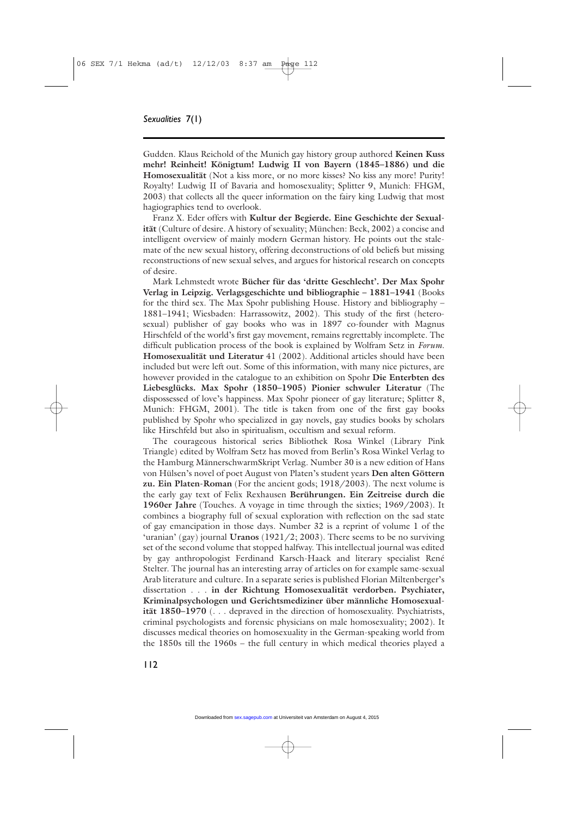Gudden. Klaus Reichold of the Munich gay history group authored **Keinen Kuss mehr! Reinheit! Königtum! Ludwig II von Bayern (1845–1886) und die Homosexualität** (Not a kiss more, or no more kisses? No kiss any more! Purity! Royalty! Ludwig II of Bavaria and homosexuality; Splitter 9, Munich: FHGM, 2003) that collects all the queer information on the fairy king Ludwig that most hagiographies tend to overlook.

Franz X. Eder offers with **Kultur der Begierde. Eine Geschichte der Sexualität** (Culture of desire. A history of sexuality; München: Beck, 2002) a concise and intelligent overview of mainly modern German history. He points out the stalemate of the new sexual history, offering deconstructions of old beliefs but missing reconstructions of new sexual selves, and argues for historical research on concepts of desire.

Mark Lehmstedt wrote **Bücher für das 'dritte Geschlecht'. Der Max Spohr Verlag in Leipzig. Verlagsgeschichte und bibliographie – 1881–1941** (Books for the third sex. The Max Spohr publishing House. History and bibliography – 1881–1941; Wiesbaden: Harrassowitz, 2002). This study of the first (heterosexual) publisher of gay books who was in 1897 co-founder with Magnus Hirschfeld of the world's first gay movement, remains regrettably incomplete. The difficult publication process of the book is explained by Wolfram Setz in *Forum*. **Homosexualität und Literatur** 41 (2002). Additional articles should have been included but were left out. Some of this information, with many nice pictures, are however provided in the catalogue to an exhibition on Spohr **Die Enterbten des Liebesglücks. Max Spohr (1850–1905) Pionier schwuler Literatur** (The dispossessed of love's happiness. Max Spohr pioneer of gay literature; Splitter 8, Munich: FHGM, 2001). The title is taken from one of the first gay books published by Spohr who specialized in gay novels, gay studies books by scholars like Hirschfeld but also in spiritualism, occultism and sexual reform.

The courageous historical series Bibliothek Rosa Winkel (Library Pink Triangle) edited by Wolfram Setz has moved from Berlin's Rosa Winkel Verlag to the Hamburg MännerschwarmSkript Verlag. Number 30 is a new edition of Hans von Hülsen's novel of poet August von Platen's student years **Den alten Göttern zu. Ein Platen-Roman** (For the ancient gods; 1918/2003). The next volume is the early gay text of Felix Rexhausen **Berührungen. Ein Zeitreise durch die 1960er Jahre** (Touches. A voyage in time through the sixties; 1969/2003). It combines a biography full of sexual exploration with reflection on the sad state of gay emancipation in those days. Number 32 is a reprint of volume 1 of the 'uranian' (gay) journal **Uranos** (1921/2; 2003). There seems to be no surviving set of the second volume that stopped halfway. This intellectual journal was edited by gay anthropologist Ferdinand Karsch-Haack and literary specialist René Stelter. The journal has an interesting array of articles on for example same-sexual Arab literature and culture. In a separate series is published Florian Miltenberger's dissertation . . . **in der Richtung Homosexualität verdorben. Psychiater, Kriminalpsychologen und Gerichtsmediziner über männliche Homosexualität 1850–1970** (. . . depraved in the direction of homosexuality. Psychiatrists, criminal psychologists and forensic physicians on male homosexuality; 2002). It discusses medical theories on homosexuality in the German-speaking world from the 1850s till the 1960s – the full century in which medical theories played a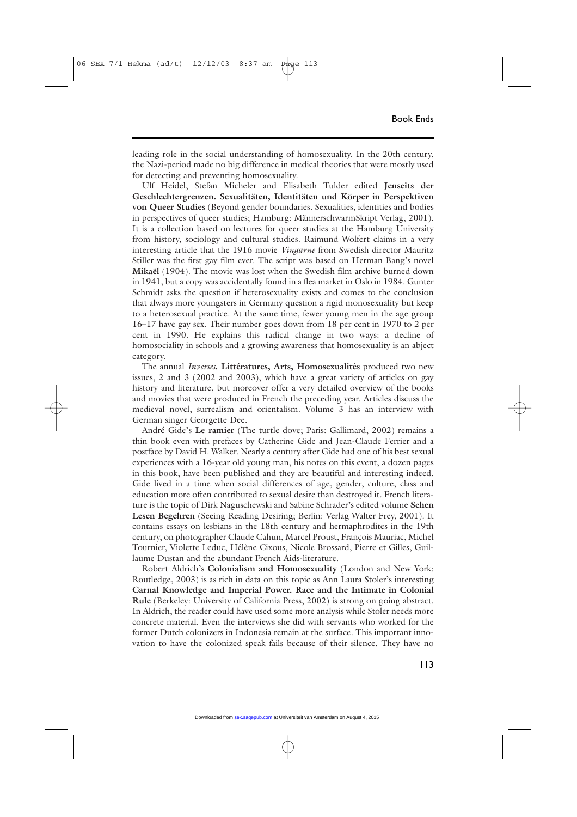leading role in the social understanding of homosexuality. In the 20th century, the Nazi-period made no big difference in medical theories that were mostly used for detecting and preventing homosexuality.

Ulf Heidel, Stefan Micheler and Elisabeth Tulder edited **Jenseits der Geschlechtergrenzen. Sexualitäten, Identitäten und Körper in Perspektiven von Queer Studies** (Beyond gender boundaries. Sexualities, identities and bodies in perspectives of queer studies; Hamburg: MännerschwarmSkript Verlag, 2001). It is a collection based on lectures for queer studies at the Hamburg University from history, sociology and cultural studies. Raimund Wolfert claims in a very interesting article that the 1916 movie *Vingarne* from Swedish director Mauritz Stiller was the first gay film ever. The script was based on Herman Bang's novel **Mikaël** (1904). The movie was lost when the Swedish film archive burned down in 1941, but a copy was accidentally found in a flea market in Oslo in 1984. Gunter Schmidt asks the question if heterosexuality exists and comes to the conclusion that always more youngsters in Germany question a rigid monosexuality but keep to a heterosexual practice. At the same time, fewer young men in the age group 16–17 have gay sex. Their number goes down from 18 per cent in 1970 to 2 per cent in 1990. He explains this radical change in two ways: a decline of homosociality in schools and a growing awareness that homosexuality is an abject category.

The annual *Inverses***. Littératures, Arts, Homosexualités** produced two new issues, 2 and 3 (2002 and 2003), which have a great variety of articles on gay history and literature, but moreover offer a very detailed overview of the books and movies that were produced in French the preceding year. Articles discuss the medieval novel, surrealism and orientalism. Volume 3 has an interview with German singer Georgette Dee.

André Gide's **Le ramier** (The turtle dove; Paris: Gallimard, 2002) remains a thin book even with prefaces by Catherine Gide and Jean-Claude Ferrier and a postface by David H. Walker. Nearly a century after Gide had one of his best sexual experiences with a 16-year old young man, his notes on this event, a dozen pages in this book, have been published and they are beautiful and interesting indeed. Gide lived in a time when social differences of age, gender, culture, class and education more often contributed to sexual desire than destroyed it. French literature is the topic of Dirk Naguschewski and Sabine Schrader's edited volume **Sehen Lesen Begehren** (Seeing Reading Desiring; Berlin: Verlag Walter Frey, 2001). It contains essays on lesbians in the 18th century and hermaphrodites in the 19th century, on photographer Claude Cahun, Marcel Proust, François Mauriac, Michel Tournier, Violette Leduc, Hélène Cixous, Nicole Brossard, Pierre et Gilles, Guillaume Dustan and the abundant French Aids-literature.

Robert Aldrich's **Colonialism and Homosexuality** (London and New York: Routledge, 2003) is as rich in data on this topic as Ann Laura Stoler's interesting **Carnal Knowledge and Imperial Power. Race and the Intimate in Colonial Rule** (Berkeley: University of California Press, 2002) is strong on going abstract. In Aldrich, the reader could have used some more analysis while Stoler needs more concrete material. Even the interviews she did with servants who worked for the former Dutch colonizers in Indonesia remain at the surface. This important innovation to have the colonized speak fails because of their silence. They have no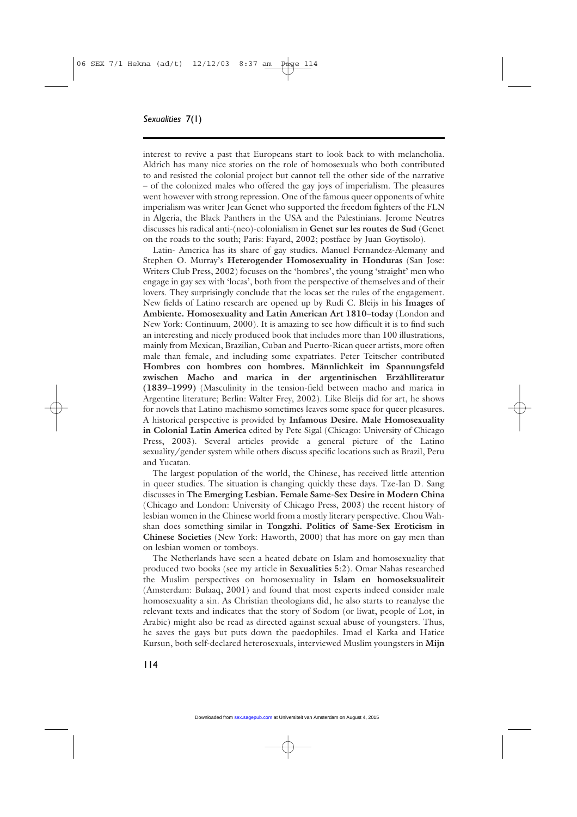interest to revive a past that Europeans start to look back to with melancholia. Aldrich has many nice stories on the role of homosexuals who both contributed to and resisted the colonial project but cannot tell the other side of the narrative – of the colonized males who offered the gay joys of imperialism. The pleasures went however with strong repression. One of the famous queer opponents of white imperialism was writer Jean Genet who supported the freedom fighters of the FLN in Algeria, the Black Panthers in the USA and the Palestinians. Jerome Neutres discusses his radical anti-(neo)-colonialism in **Genet sur les routes de Sud** (Genet on the roads to the south; Paris: Fayard, 2002; postface by Juan Goytisolo).

Latin- America has its share of gay studies. Manuel Fernandez-Alemany and Stephen O. Murray's **Heterogender Homosexuality in Honduras** (San Jose: Writers Club Press, 2002) focuses on the 'hombres', the young 'straight' men who engage in gay sex with 'locas', both from the perspective of themselves and of their lovers. They surprisingly conclude that the locas set the rules of the engagement. New fields of Latino research are opened up by Rudi C. Bleijs in his **Images of Ambiente. Homosexuality and Latin American Art 1810–today** (London and New York: Continuum, 2000). It is amazing to see how difficult it is to find such an interesting and nicely produced book that includes more than 100 illustrations, mainly from Mexican, Brazilian, Cuban and Puerto-Rican queer artists, more often male than female, and including some expatriates. Peter Teitscher contributed **Hombres con hombres con hombres. Männlichkeit im Spannungsfeld zwischen Macho and marica in der argentinischen Erzählliteratur (1839–1999)** (Masculinity in the tension-field between macho and marica in Argentine literature; Berlin: Walter Frey, 2002). Like Bleijs did for art, he shows for novels that Latino machismo sometimes leaves some space for queer pleasures. A historical perspective is provided by **Infamous Desire. Male Homosexuality in Colonial Latin America** edited by Pete Sigal (Chicago: University of Chicago Press, 2003). Several articles provide a general picture of the Latino sexuality/gender system while others discuss specific locations such as Brazil, Peru and Yucatan.

The largest population of the world, the Chinese, has received little attention in queer studies. The situation is changing quickly these days. Tze-Ian D. Sang discusses in **The Emerging Lesbian. Female Same-Sex Desire in Modern China** (Chicago and London: University of Chicago Press, 2003) the recent history of lesbian women in the Chinese world from a mostly literary perspective. Chou Wahshan does something similar in **Tongzhi. Politics of Same-Sex Eroticism in Chinese Societies** (New York: Haworth, 2000) that has more on gay men than on lesbian women or tomboys.

The Netherlands have seen a heated debate on Islam and homosexuality that produced two books (see my article in **Sexualities** 5:2). Omar Nahas researched the Muslim perspectives on homosexuality in **Islam en homoseksualiteit** (Amsterdam: Bulaaq, 2001) and found that most experts indeed consider male homosexuality a sin. As Christian theologians did, he also starts to reanalyse the relevant texts and indicates that the story of Sodom (or liwat, people of Lot, in Arabic) might also be read as directed against sexual abuse of youngsters. Thus, he saves the gays but puts down the paedophiles. Imad el Karka and Hatice Kursun, both self-declared heterosexuals, interviewed Muslim youngsters in **Mijn**